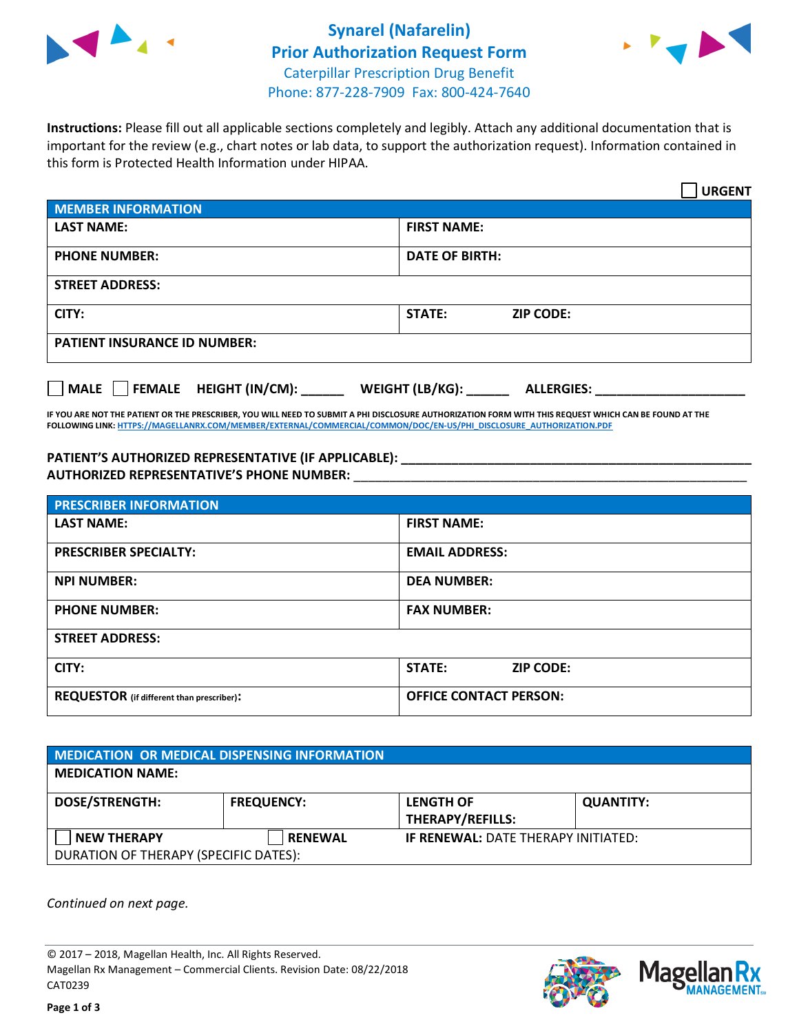



**Instructions:** Please fill out all applicable sections completely and legibly. Attach any additional documentation that is important for the review (e.g., chart notes or lab data, to support the authorization request). Information contained in this form is Protected Health Information under HIPAA.

|                                       | <b>URGENT</b>                        |  |
|---------------------------------------|--------------------------------------|--|
| <b>MEMBER INFORMATION</b>             |                                      |  |
| <b>LAST NAME:</b>                     | <b>FIRST NAME:</b>                   |  |
| <b>PHONE NUMBER:</b>                  | <b>DATE OF BIRTH:</b>                |  |
| <b>STREET ADDRESS:</b>                |                                      |  |
| CITY:                                 | <b>ZIP CODE:</b><br>STATE:           |  |
| <b>PATIENT INSURANCE ID NUMBER:</b>   |                                      |  |
| FEMALE HEIGHT (IN/CM):<br><b>MALE</b> | WEIGHT (LB/KG):<br><b>ALLERGIES:</b> |  |

**IF YOU ARE NOT THE PATIENT OR THE PRESCRIBER, YOU WILL NEED TO SUBMIT A PHI DISCLOSURE AUTHORIZATION FORM WITH THIS REQUEST WHICH CAN BE FOUND AT THE FOLLOWING LINK[: HTTPS://MAGELLANRX.COM/MEMBER/EXTERNAL/COMMERCIAL/COMMON/DOC/EN-US/PHI\\_DISCLOSURE\\_AUTHORIZATION.PDF](https://magellanrx.com/member/external/commercial/common/doc/en-us/PHI_Disclosure_Authorization.pdf)**

**PATIENT'S AUTHORIZED REPRESENTATIVE (IF APPLICABLE): \_\_\_\_\_\_\_\_\_\_\_\_\_\_\_\_\_\_\_\_\_\_\_\_\_\_\_\_\_\_\_\_\_\_\_\_\_\_\_\_\_\_\_\_\_\_\_\_\_ AUTHORIZED REPRESENTATIVE'S PHONE NUMBER:** \_\_\_\_\_\_\_\_\_\_\_\_\_\_\_\_\_\_\_\_\_\_\_\_\_\_\_\_\_\_\_\_\_\_\_\_\_\_\_\_\_\_\_\_\_\_\_\_\_\_\_\_\_\_\_

| <b>PRESCRIBER INFORMATION</b>             |                                   |  |  |
|-------------------------------------------|-----------------------------------|--|--|
| <b>LAST NAME:</b>                         | <b>FIRST NAME:</b>                |  |  |
| <b>PRESCRIBER SPECIALTY:</b>              | <b>EMAIL ADDRESS:</b>             |  |  |
| <b>NPI NUMBER:</b>                        | <b>DEA NUMBER:</b>                |  |  |
| <b>PHONE NUMBER:</b>                      | <b>FAX NUMBER:</b>                |  |  |
| <b>STREET ADDRESS:</b>                    |                                   |  |  |
| CITY:                                     | <b>STATE:</b><br><b>ZIP CODE:</b> |  |  |
| REQUESTOR (if different than prescriber): | <b>OFFICE CONTACT PERSON:</b>     |  |  |

| <b>MEDICATION OR MEDICAL DISPENSING INFORMATION</b>         |                   |                                             |                  |  |  |
|-------------------------------------------------------------|-------------------|---------------------------------------------|------------------|--|--|
| <b>MEDICATION NAME:</b>                                     |                   |                                             |                  |  |  |
| <b>DOSE/STRENGTH:</b>                                       | <b>FREQUENCY:</b> | <b>LENGTH OF</b><br><b>THERAPY/REFILLS:</b> | <b>QUANTITY:</b> |  |  |
| <b>NEW THERAPY</b><br>DURATION OF THERAPY (SPECIFIC DATES): | <b>RENEWAL</b>    | <b>IF RENEWAL: DATE THERAPY INITIATED:</b>  |                  |  |  |

*Continued on next page.*

© 2017 – 2018, Magellan Health, Inc. All Rights Reserved. Magellan Rx Management – Commercial Clients. Revision Date: 08/22/2018 CAT0239



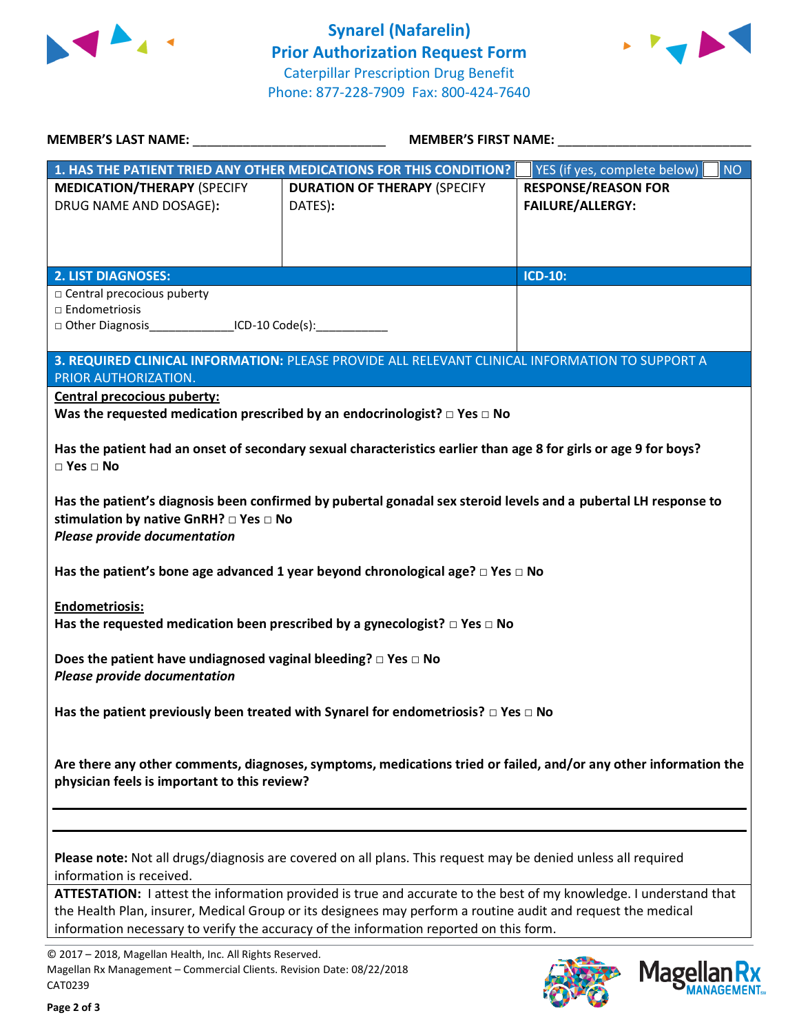



|                                                                                                                                                | <b>MEMBER'S LAST NAME:</b><br><b>MEMBER'S FIRST NAME:</b>                                                                                                                                                                                                                                                                    |                                                       |
|------------------------------------------------------------------------------------------------------------------------------------------------|------------------------------------------------------------------------------------------------------------------------------------------------------------------------------------------------------------------------------------------------------------------------------------------------------------------------------|-------------------------------------------------------|
|                                                                                                                                                | 1. HAS THE PATIENT TRIED ANY OTHER MEDICATIONS FOR THIS CONDITION?                                                                                                                                                                                                                                                           | <b>NO</b><br>YES (if yes, complete below)             |
| <b>MEDICATION/THERAPY (SPECIFY</b><br>DRUG NAME AND DOSAGE):                                                                                   | <b>DURATION OF THERAPY (SPECIFY</b><br>DATES):                                                                                                                                                                                                                                                                               | <b>RESPONSE/REASON FOR</b><br><b>FAILURE/ALLERGY:</b> |
| <b>2. LIST DIAGNOSES:</b>                                                                                                                      |                                                                                                                                                                                                                                                                                                                              | <b>ICD-10:</b>                                        |
| □ Central precocious puberty<br>□ Endometriosis<br>□ Other Diagnosis_________________ICD-10 Code(s):_______________                            |                                                                                                                                                                                                                                                                                                                              |                                                       |
| PRIOR AUTHORIZATION.                                                                                                                           | 3. REQUIRED CLINICAL INFORMATION: PLEASE PROVIDE ALL RELEVANT CLINICAL INFORMATION TO SUPPORT A                                                                                                                                                                                                                              |                                                       |
| Central precocious puberty:                                                                                                                    | Was the requested medication prescribed by an endocrinologist? $\square$ Yes $\square$ No                                                                                                                                                                                                                                    |                                                       |
| $\square$ Yes $\square$ No                                                                                                                     | Has the patient had an onset of secondary sexual characteristics earlier than age 8 for girls or age 9 for boys?                                                                                                                                                                                                             |                                                       |
| stimulation by native GnRH? $\Box$ Yes $\Box$ No<br><b>Please provide documentation</b>                                                        | Has the patient's diagnosis been confirmed by pubertal gonadal sex steroid levels and a pubertal LH response to                                                                                                                                                                                                              |                                                       |
|                                                                                                                                                | Has the patient's bone age advanced 1 year beyond chronological age? $\Box$ Yes $\Box$ No                                                                                                                                                                                                                                    |                                                       |
| <b>Endometriosis:</b>                                                                                                                          | Has the requested medication been prescribed by a gynecologist? $\Box$ Yes $\Box$ No                                                                                                                                                                                                                                         |                                                       |
| Does the patient have undiagnosed vaginal bleeding? $\Box$ Yes $\Box$ No<br><b>Please provide documentation</b>                                |                                                                                                                                                                                                                                                                                                                              |                                                       |
|                                                                                                                                                | Has the patient previously been treated with Synarel for endometriosis? $\Box$ Yes $\Box$ No                                                                                                                                                                                                                                 |                                                       |
| physician feels is important to this review?                                                                                                   | Are there any other comments, diagnoses, symptoms, medications tried or failed, and/or any other information the                                                                                                                                                                                                             |                                                       |
|                                                                                                                                                |                                                                                                                                                                                                                                                                                                                              |                                                       |
| information is received.                                                                                                                       | Please note: Not all drugs/diagnosis are covered on all plans. This request may be denied unless all required                                                                                                                                                                                                                |                                                       |
|                                                                                                                                                | ATTESTATION: I attest the information provided is true and accurate to the best of my knowledge. I understand that<br>the Health Plan, insurer, Medical Group or its designees may perform a routine audit and request the medical<br>information necessary to verify the accuracy of the information reported on this form. |                                                       |
| © 2017 - 2018, Magellan Health, Inc. All Rights Reserved.<br>Magellan Rx Management - Commercial Clients. Revision Date: 08/22/2018<br>CAT0239 |                                                                                                                                                                                                                                                                                                                              | <b>Magella</b>                                        |